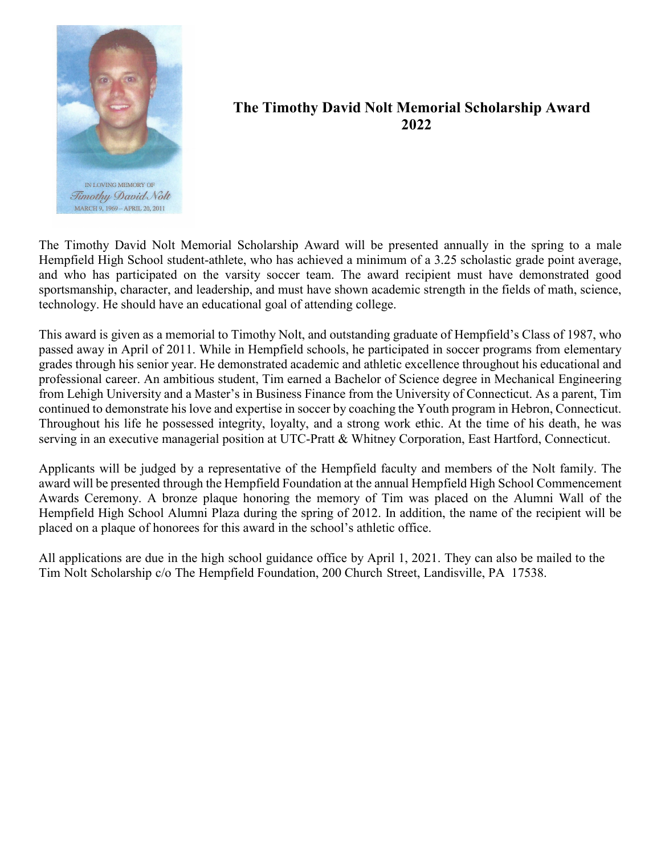

## **The Timothy David Nolt Memorial Scholarship Award 2022**

The Timothy David Nolt Memorial Scholarship Award will be presented annually in the spring to a male Hempfield High School student-athlete, who has achieved a minimum of a 3.25 scholastic grade point average, and who has participated on the varsity soccer team. The award recipient must have demonstrated good sportsmanship, character, and leadership, and must have shown academic strength in the fields of math, science, technology. He should have an educational goal of attending college.

This award is given as a memorial to Timothy Nolt, and outstanding graduate of Hempfield's Class of 1987, who passed away in April of 2011. While in Hempfield schools, he participated in soccer programs from elementary grades through his senior year. He demonstrated academic and athletic excellence throughout his educational and professional career. An ambitious student, Tim earned a Bachelor of Science degree in Mechanical Engineering from Lehigh University and a Master's in Business Finance from the University of Connecticut. As a parent, Tim continued to demonstrate his love and expertise in soccer by coaching the Youth program in Hebron, Connecticut. Throughout his life he possessed integrity, loyalty, and a strong work ethic. At the time of his death, he was serving in an executive managerial position at UTC-Pratt & Whitney Corporation, East Hartford, Connecticut.

Applicants will be judged by a representative of the Hempfield faculty and members of the Nolt family. The award will be presented through the Hempfield Foundation at the annual Hempfield High School Commencement Awards Ceremony. A bronze plaque honoring the memory of Tim was placed on the Alumni Wall of the Hempfield High School Alumni Plaza during the spring of 2012. In addition, the name of the recipient will be placed on a plaque of honorees for this award in the school's athletic office.

All applications are due in the high school guidance office by April 1, 2021. They can also be mailed to the Tim Nolt Scholarship c/o The Hempfield Foundation, 200 Church Street, Landisville, PA 17538.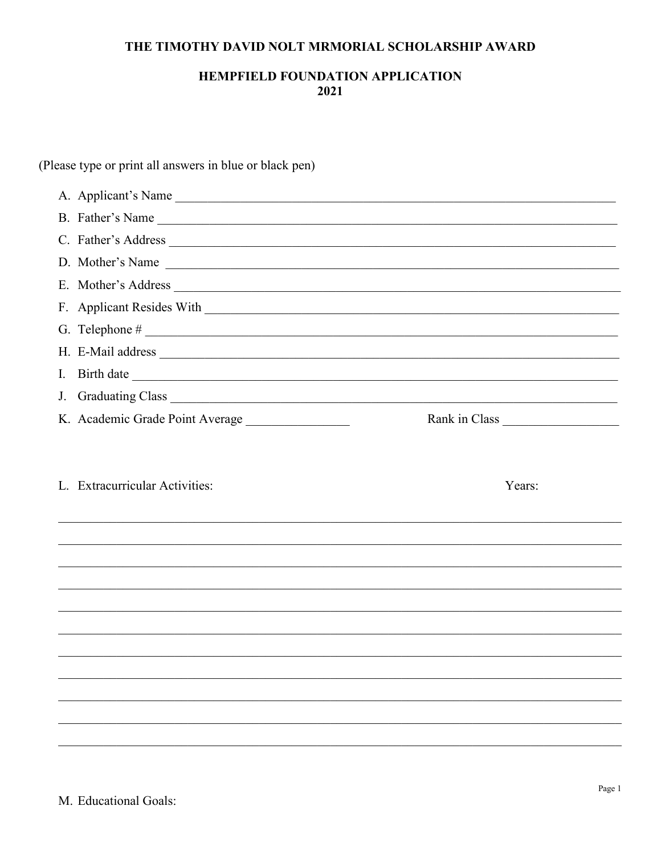## THE TIMOTHY DAVID NOLT MRMORIAL SCHOLARSHIP AWARD

## **HEMPFIELD FOUNDATION APPLICATION** 2021

(Please type or print all answers in blue or black pen) A. Applicant's Name B. Father's Name D. Mother's Name I. Birth date J. Graduating Class K. Academic Grade Point Average \_\_\_\_\_\_\_\_\_\_\_\_\_\_\_\_ Rank in Class L. Extracurricular Activities: Years: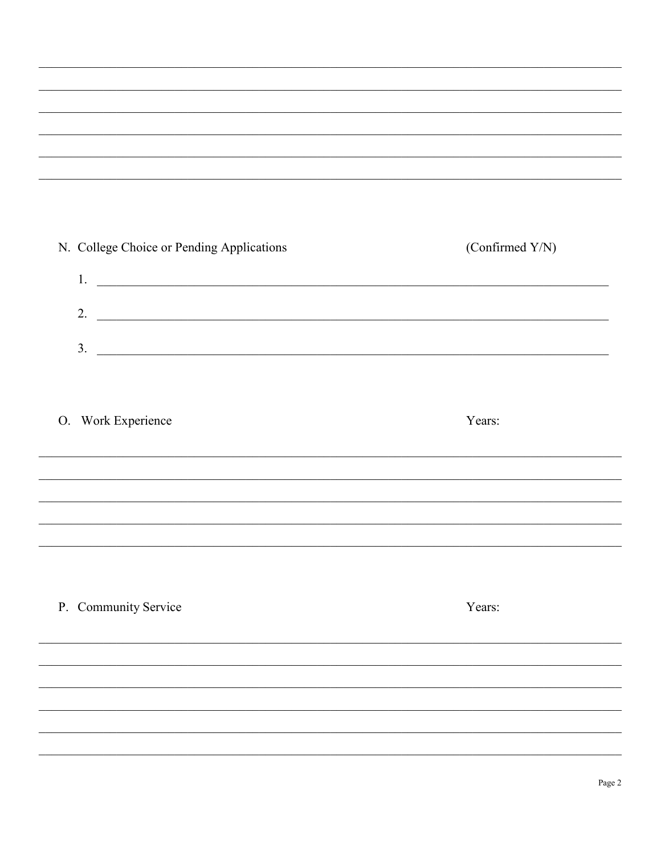| N. College Choice or Pending Applications                                                                                    | (Confirmed Y/N) |
|------------------------------------------------------------------------------------------------------------------------------|-----------------|
| 1.<br><u> Andreas Andreas Andreas Andreas Andreas Andreas Andreas Andreas Andreas Andreas Andreas Andreas Andreas Andr</u>   |                 |
| 2.<br><u> 1989 - Andrea Santa Alemania, amerikana amerikana amerikana amerikana amerikana amerikana amerikana amerikana</u>  |                 |
| 3.<br><u> 1989 - Johann Stoff, deutscher Stoffen und der Stoffen und der Stoffen und der Stoffen und der Stoffen und der</u> |                 |
|                                                                                                                              |                 |
| Work Experience<br>O.                                                                                                        | Years:          |
|                                                                                                                              |                 |
|                                                                                                                              |                 |
|                                                                                                                              |                 |
|                                                                                                                              |                 |
| P. Community Service                                                                                                         | Years:          |
|                                                                                                                              |                 |